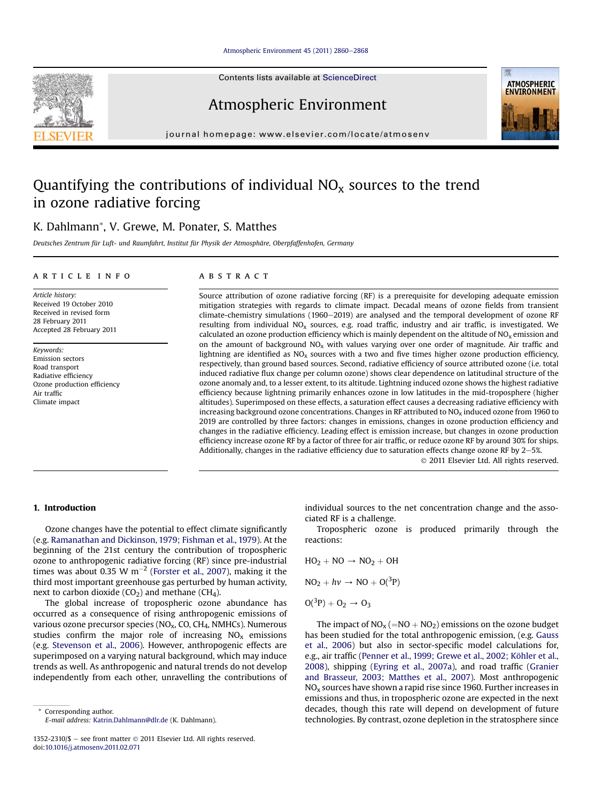#### [Atmospheric Environment 45 \(2011\) 2860](http://dx.doi.org/10.1016/j.atmosenv.2011.02.071)-[2868](http://dx.doi.org/10.1016/j.atmosenv.2011.02.071)

Contents lists available at ScienceDirect

# Atmospheric Environment

journal homepage:<www.elsevier.com/locate/atmosenv>

# Quantifying the contributions of individual  $NO<sub>x</sub>$  sources to the trend in ozone radiative forcing

# K. Dahlmann\*, V. Grewe, M. Ponater, S. Matthes

Deutsches Zentrum für Luft- und Raumfahrt, Institut für Physik der Atmosphäre, Oberpfaffenhofen, Germany

### article info

Article history: Received 19 October 2010 Received in revised form 28 February 2011 Accepted 28 February 2011

Keywords: Emission sectors Road transport Radiative efficiency Ozone production efficiency Air traffic Climate impact

# **ABSTRACT**

Source attribution of ozone radiative forcing (RF) is a prerequisite for developing adequate emission mitigation strategies with regards to climate impact. Decadal means of ozone fields from transient climate-chemistry simulations (1960–2019) are analysed and the temporal development of ozone RF resulting from individual NO<sub>x</sub> sources, e.g. road traffic, industry and air traffic, is investigated. We calculated an ozone production efficiency which is mainly dependent on the altitude of NOx emission and on the amount of background  $NO<sub>x</sub>$  with values varying over one order of magnitude. Air traffic and lightning are identified as  $NO<sub>x</sub>$  sources with a two and five times higher ozone production efficiency, respectively, than ground based sources. Second, radiative efficiency of source attributed ozone (i.e. total induced radiative flux change per column ozone) shows clear dependence on latitudinal structure of the ozone anomaly and, to a lesser extent, to its altitude. Lightning induced ozone shows the highest radiative efficiency because lightning primarily enhances ozone in low latitudes in the mid-troposphere (higher altitudes). Superimposed on these effects, a saturation effect causes a decreasing radiative efficiency with increasing background ozone concentrations. Changes in RF attributed to NO<sub>y</sub> induced ozone from 1960 to 2019 are controlled by three factors: changes in emissions, changes in ozone production efficiency and changes in the radiative efficiency. Leading effect is emission increase, but changes in ozone production efficiency increase ozone RF by a factor of three for air traffic, or reduce ozone RF by around 30% for ships. Additionally, changes in the radiative efficiency due to saturation effects change ozone RF by  $2-5%$ .

2011 Elsevier Ltd. All rights reserved.

# 1. Introduction

Ozone changes have the potential to effect climate significantly (e.g. [Ramanathan and Dickinson, 1979; Fishman et al., 1979](#page-8-0)). At the beginning of the 21st century the contribution of tropospheric ozone to anthropogenic radiative forcing (RF) since pre-industrial times was about  $0.35 \text{ W m}^{-2}$  ([Forster et al., 2007\)](#page-7-0), making it the third most important greenhouse gas perturbed by human activity, next to carbon dioxide  $(CO_2)$  and methane  $(CH_4)$ .

The global increase of tropospheric ozone abundance has occurred as a consequence of rising anthropogenic emissions of various ozone precursor species ( $NO<sub>x</sub>$ , CO, CH<sub>4</sub>, NMHCs). Numerous studies confirm the major role of increasing  $NO<sub>x</sub>$  emissions (e.g. [Stevenson et al., 2006](#page-8-0)). However, anthropogenic effects are superimposed on a varying natural background, which may induce trends as well. As anthropogenic and natural trends do not develop independently from each other, unravelling the contributions of

Corresponding author. E-mail address: [Katrin.Dahlmann@dlr.de](mailto:Katrin.Dahlmann@dlr.de) (K. Dahlmann). individual sources to the net concentration change and the associated RF is a challenge.

Tropospheric ozone is produced primarily through the reactions:

 $HO<sub>2</sub> + NO \rightarrow NO<sub>2</sub> + OH$  $NO<sub>2</sub> + hv \rightarrow NO + O(^{3}P)$ 

 $O(^3P) + O_2 \rightarrow O_3$ 

The impact of  $NO<sub>x</sub> (=NO + NO<sub>2</sub>)$  emissions on the ozone budget has been studied for the total anthropogenic emission, (e.g. [Gauss](#page-7-0) [et al., 2006](#page-7-0)) but also in sector-specific model calculations for, e.g., air traffic [\(Penner et al., 1999; Grewe et al., 2002; Köhler et al.,](#page-8-0) [2008](#page-8-0)), shipping ([Eyring et al., 2007a](#page-7-0)), and road traffic [\(Granier](#page-7-0) [and Brasseur, 2003; Matthes et al., 2007\)](#page-7-0). Most anthropogenic  $NO<sub>x</sub>$  sources have shown a rapid rise since 1960. Further increases in emissions and thus, in tropospheric ozone are expected in the next decades, though this rate will depend on development of future technologies. By contrast, ozone depletion in the stratosphere since





<sup>1352-2310/\$</sup>  $-$  see front matter  $\odot$  2011 Elsevier Ltd. All rights reserved. doi:[10.1016/j.atmosenv.2011.02.071](http://dx.doi.org/10.1016/j.atmosenv.2011.02.071)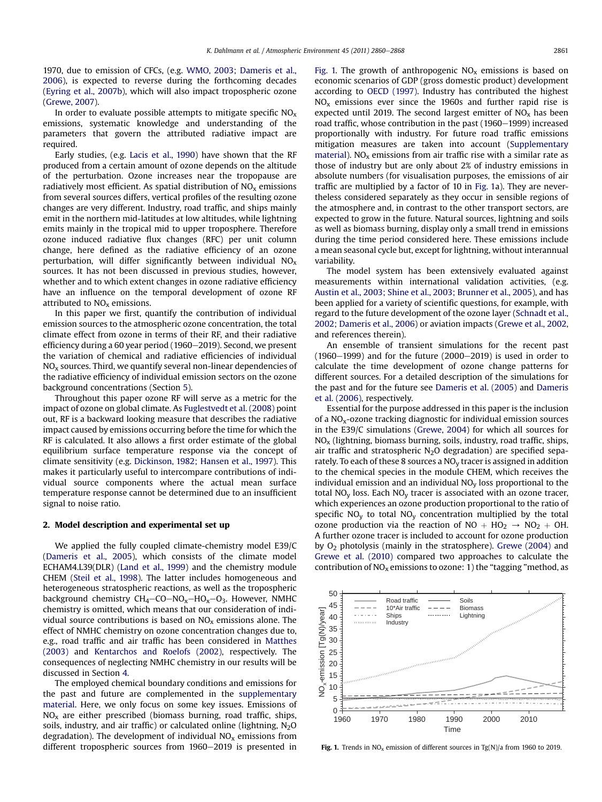<span id="page-1-0"></span>1970, due to emission of CFCs, (e.g. [WMO, 2003; Dameris et al.,](#page-8-0) [2006\)](#page-8-0), is expected to reverse during the forthcoming decades ([Eyring et al., 2007b\)](#page-7-0), which will also impact tropospheric ozone ([Grewe, 2007](#page-7-0)).

In order to evaluate possible attempts to mitigate specific  $NO<sub>x</sub>$ emissions, systematic knowledge and understanding of the parameters that govern the attributed radiative impact are required.

Early studies, (e.g. [Lacis et al., 1990\)](#page-8-0) have shown that the RF produced from a certain amount of ozone depends on the altitude of the perturbation. Ozone increases near the tropopause are radiatively most efficient. As spatial distribution of  $NO<sub>x</sub>$  emissions from several sources differs, vertical profiles of the resulting ozone changes are very different. Industry, road traffic, and ships mainly emit in the northern mid-latitudes at low altitudes, while lightning emits mainly in the tropical mid to upper troposphere. Therefore ozone induced radiative flux changes (RFC) per unit column change, here defined as the radiative efficiency of an ozone perturbation, will differ significantly between individual  $NO<sub>x</sub>$ sources. It has not been discussed in previous studies, however, whether and to which extent changes in ozone radiative efficiency have an influence on the temporal development of ozone RF attributed to  $NO<sub>x</sub>$  emissions.

In this paper we first, quantify the contribution of individual emission sources to the atmospheric ozone concentration, the total climate effect from ozone in terms of their RF, and their radiative efficiency during a 60 year period (1960-2019). Second, we present the variation of chemical and radiative efficiencies of individual NOx sources. Third, we quantify several non-linear dependencies of the radiative efficiency of individual emission sectors on the ozone background concentrations (Section [5\)](#page-6-0).

Throughout this paper ozone RF will serve as a metric for the impact of ozone on global climate. As [Fuglestvedt et al. \(2008\)](#page-7-0) point out, RF is a backward looking measure that describes the radiative impact caused by emissions occurring before the time for which the RF is calculated. It also allows a first order estimate of the global equilibrium surface temperature response via the concept of climate sensitivity (e.g. [Dickinson, 1982; Hansen et al., 1997](#page-7-0)). This makes it particularly useful to intercompare contributions of individual source components where the actual mean surface temperature response cannot be determined due to an insufficient signal to noise ratio.

#### 2. Model description and experimental set up

We applied the fully coupled climate-chemistry model E39/C ([Dameris et al., 2005\)](#page-7-0), which consists of the climate model ECHAM4.L39(DLR) [\(Land et al., 1999](#page-8-0)) and the chemistry module CHEM ([Steil et al., 1998](#page-8-0)). The latter includes homogeneous and heterogeneous stratospheric reactions, as well as the tropospheric background chemistry  $CH_4$ –CO–NO<sub>x</sub>–HO<sub>x</sub>–O<sub>3</sub>. However, NMHC chemistry is omitted, which means that our consideration of individual source contributions is based on  $NO<sub>x</sub>$  emissions alone. The effect of NMHC chemistry on ozone concentration changes due to, e.g., road traffic and air traffic has been considered in [Matthes](#page-8-0) [\(2003\)](#page-8-0) and [Kentarchos and Roelofs \(2002\),](#page-8-0) respectively. The consequences of neglecting NMHC chemistry in our results will be discussed in Section [4.](#page-5-0)

The employed chemical boundary conditions and emissions for the past and future are complemented in the supplementary material. Here, we only focus on some key issues. Emissions of  $NO<sub>x</sub>$  are either prescribed (biomass burning, road traffic, ships, soils, industry, and air traffic) or calculated online (lightning,  $N_2O$ degradation). The development of individual  $NO<sub>x</sub>$  emissions from different tropospheric sources from 1960–2019 is presented in Fig. 1. The growth of anthropogenic  $NO<sub>x</sub>$  emissions is based on economic scenarios of GDP (gross domestic product) development according to [OECD \(1997\).](#page-8-0) Industry has contributed the highest  $NO<sub>x</sub>$  emissions ever since the 1960s and further rapid rise is expected until 2019. The second largest emitter of  $NO<sub>x</sub>$  has been road traffic, whose contribution in the past (1960-1999) increased proportionally with industry. For future road traffic emissions mitigation measures are taken into account (Supplementary material). NO<sub>x</sub> emissions from air traffic rise with a similar rate as those of industry but are only about 2% of industry emissions in absolute numbers (for visualisation purposes, the emissions of air traffic are multiplied by a factor of 10 in Fig. 1a). They are nevertheless considered separately as they occur in sensible regions of the atmosphere and, in contrast to the other transport sectors, are expected to grow in the future. Natural sources, lightning and soils as well as biomass burning, display only a small trend in emissions during the time period considered here. These emissions include a mean seasonal cycle but, except for lightning, without interannual variability.

The model system has been extensively evaluated against measurements within international validation activities, (e.g. [Austin et al., 2003; Shine et al., 2003; Brunner et al., 2005\)](#page-7-0), and has been applied for a variety of scientific questions, for example, with regard to the future development of the ozone layer ([Schnadt et al.,](#page-8-0) [2002; Dameris et al., 2006](#page-8-0)) or aviation impacts ([Grewe et al., 2002,](#page-7-0) and references therein).

An ensemble of transient simulations for the recent past  $(1960-1999)$  and for the future  $(2000-2019)$  is used in order to calculate the time development of ozone change patterns for different sources. For a detailed description of the simulations for the past and for the future see [Dameris et al. \(2005\)](#page-7-0) and [Dameris](#page-7-0) [et al. \(2006\),](#page-7-0) respectively.

Essential for the purpose addressed in this paper is the inclusion of a  $NO<sub>x</sub>$ -ozone tracking diagnostic for individual emission sources in the E39/C simulations ([Grewe, 2004\)](#page-7-0) for which all sources for  $NO<sub>x</sub>$  (lightning, biomass burning, soils, industry, road traffic, ships, air traffic and stratospheric  $N<sub>2</sub>O$  degradation) are specified separately. To each of these 8 sources a  $NO<sub>v</sub>$  tracer is assigned in addition to the chemical species in the module CHEM, which receives the individual emission and an individual  $NO<sub>v</sub>$  loss proportional to the total  $NO<sub>v</sub>$  loss. Each  $NO<sub>v</sub>$  tracer is associated with an ozone tracer, which experiences an ozone production proportional to the ratio of specific  $NO<sub>v</sub>$  to total  $NO<sub>v</sub>$  concentration multiplied by the total ozone production via the reaction of  $NO + HO<sub>2</sub> \rightarrow NO<sub>2</sub> + OH$ . A further ozone tracer is included to account for ozone production by O2 photolysis (mainly in the stratosphere). [Grewe \(2004\)](#page-7-0) and [Grewe et al. \(2010\)](#page-8-0) compared two approaches to calculate the contribution of  $NO<sub>x</sub>$  emissions to ozone: 1) the "tagging "method, as



Fig. 1. Trends in NO<sub>x</sub> emission of different sources in Tg(N)/a from 1960 to 2019.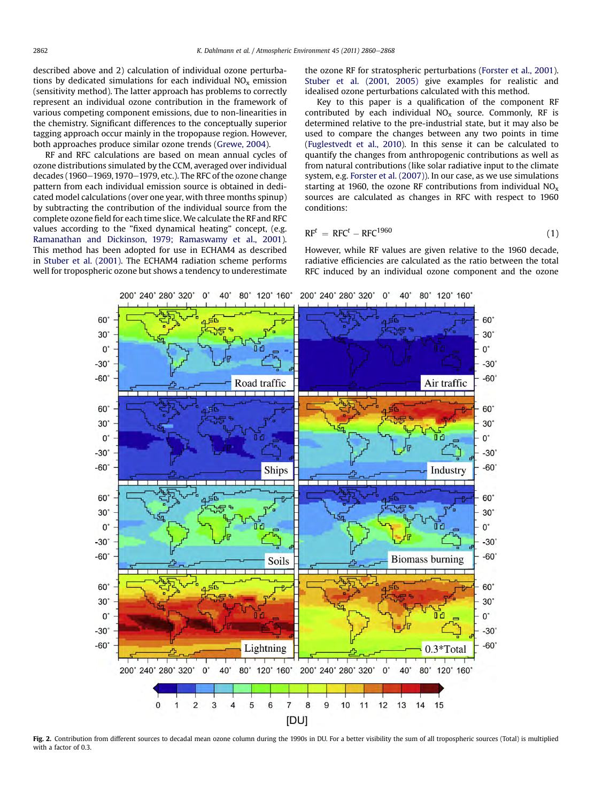<span id="page-2-0"></span>described above and 2) calculation of individual ozone perturbations by dedicated simulations for each individual  $NO<sub>x</sub>$  emission (sensitivity method). The latter approach has problems to correctly represent an individual ozone contribution in the framework of various competing component emissions, due to non-linearities in the chemistry. Significant differences to the conceptually superior tagging approach occur mainly in the tropopause region. However, both approaches produce similar ozone trends ([Grewe, 2004](#page-7-0)).

RF and RFC calculations are based on mean annual cycles of ozone distributions simulated by the CCM, averaged over individual decades (1960-1969, 1970-1979, etc.). The RFC of the ozone change pattern from each individual emission source is obtained in dedicated model calculations (over one year, with three months spinup) by subtracting the contribution of the individual source from the complete ozone field for each time slice.We calculate the RF and RFC values according to the "fixed dynamical heating" concept, (e.g. [Ramanathan and Dickinson, 1979; Ramaswamy et al., 2001](#page-8-0)). This method has been adopted for use in ECHAM4 as described in [Stuber et al. \(2001\).](#page-8-0) The ECHAM4 radiation scheme performs well for tropospheric ozone but shows a tendency to underestimate the ozone RF for stratospheric perturbations ([Forster et al., 2001\)](#page-7-0). [Stuber et al. \(2001, 2005\)](#page-8-0) give examples for realistic and idealised ozone perturbations calculated with this method.

Key to this paper is a qualification of the component RF contributed by each individual  $NO<sub>x</sub>$  source. Commonly, RF is determined relative to the pre-industrial state, but it may also be used to compare the changes between any two points in time ([Fuglestvedt et al., 2010](#page-7-0)). In this sense it can be calculated to quantify the changes from anthropogenic contributions as well as from natural contributions (like solar radiative input to the climate system, e.g. [Forster et al. \(2007\)\)](#page-7-0). In our case, as we use simulations starting at 1960, the ozone RF contributions from individual  $NO<sub>x</sub>$ sources are calculated as changes in RFC with respect to 1960 conditions:

$$
RFt = RFCt - RFC1960
$$
 (1)

However, while RF values are given relative to the 1960 decade, radiative efficiencies are calculated as the ratio between the total RFC induced by an individual ozone component and the ozone



Fig. 2. Contribution from different sources to decadal mean ozone column during the 1990s in DU. For a better visibility the sum of all tropospheric sources (Total) is multiplied with a factor of 0.3.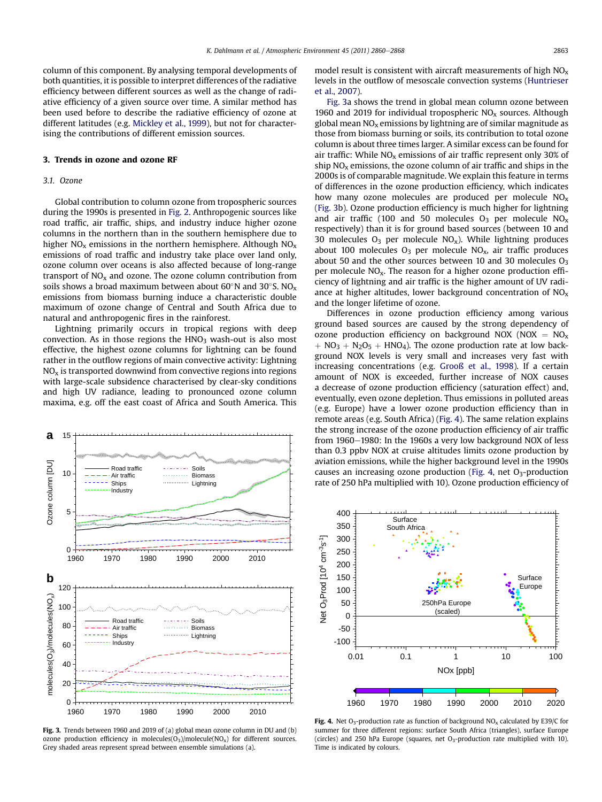<span id="page-3-0"></span>column of this component. By analysing temporal developments of both quantities, it is possible to interpret differences of the radiative efficiency between different sources as well as the change of radiative efficiency of a given source over time. A similar method has been used before to describe the radiative efficiency of ozone at different latitudes (e.g. [Mickley et al., 1999](#page-8-0)), but not for characterising the contributions of different emission sources.

#### 3. Trends in ozone and ozone RF

### 3.1. Ozone

Global contribution to column ozone from tropospheric sources during the 1990s is presented in [Fig. 2.](#page-2-0) Anthropogenic sources like road traffic, air traffic, ships, and industry induce higher ozone columns in the northern than in the southern hemisphere due to higher  $NO<sub>x</sub>$  emissions in the northern hemisphere. Although  $NO<sub>x</sub>$ emissions of road traffic and industry take place over land only, ozone column over oceans is also affected because of long-range transport of  $NO<sub>x</sub>$  and ozone. The ozone column contribution from soils shows a broad maximum between about  $60^{\circ}$ N and  $30^{\circ}$ S. NO<sub>x</sub> emissions from biomass burning induce a characteristic double maximum of ozone change of Central and South Africa due to natural and anthropogenic fires in the rainforest.

Lightning primarily occurs in tropical regions with deep convection. As in those regions the  $HNO<sub>3</sub>$  wash-out is also most effective, the highest ozone columns for lightning can be found rather in the outflow regions of main convective activity: Lightning  $NO<sub>x</sub>$  is transported downwind from convective regions into regions with large-scale subsidence characterised by clear-sky conditions and high UV radiance, leading to pronounced ozone column maxima, e.g. off the east coast of Africa and South America. This



Fig. 3. Trends between 1960 and 2019 of (a) global mean ozone column in DU and (b) ozone production efficiency in molecules( $O_3$ )/molecule( $NO_x$ ) for different sources. Grey shaded areas represent spread between ensemble simulations (a).

model result is consistent with aircraft measurements of high  $NO<sub>x</sub>$ levels in the outflow of mesoscale convection systems [\(Huntrieser](#page-8-0) [et al., 2007](#page-8-0)).

Fig. 3a shows the trend in global mean column ozone between 1960 and 2019 for individual tropospheric  $NO<sub>x</sub>$  sources. Although global mean  $NO<sub>x</sub>$  emissions by lightning are of similar magnitude as those from biomass burning or soils, its contribution to total ozone column is about three times larger. A similar excess can be found for air traffic: While  $NO<sub>x</sub>$  emissions of air traffic represent only 30% of ship  $NO<sub>x</sub>$  emissions, the ozone column of air traffic and ships in the 2000s is of comparable magnitude. We explain this feature in terms of differences in the ozone production efficiency, which indicates how many ozone molecules are produced per molecule  $NO<sub>x</sub>$ (Fig. 3b). Ozone production efficiency is much higher for lightning and air traffic (100 and 50 molecules  $O_3$  per molecule  $NO<sub>x</sub>$ respectively) than it is for ground based sources (between 10 and 30 molecules  $O_3$  per molecule NO<sub>x</sub>). While lightning produces about 100 molecules  $O_3$  per molecule NO<sub>x</sub>, air traffic produces about 50 and the other sources between 10 and 30 molecules  $O<sub>3</sub>$ per molecule  $NO<sub>x</sub>$ . The reason for a higher ozone production efficiency of lightning and air traffic is the higher amount of UV radiance at higher altitudes, lower background concentration of  $NO<sub>x</sub>$ and the longer lifetime of ozone.

Differences in ozone production efficiency among various ground based sources are caused by the strong dependency of ozone production efficiency on background NOX (NOX  $=$  NO<sub>x</sub>  $P_1 + NO_3 + N_2O_5 + HNO_4$ ). The ozone production rate at low background NOX levels is very small and increases very fast with increasing concentrations (e.g. [Grooß et al., 1998](#page-8-0)). If a certain amount of NOX is exceeded, further increase of NOX causes a decrease of ozone production efficiency (saturation effect) and, eventually, even ozone depletion. Thus emissions in polluted areas (e.g. Europe) have a lower ozone production efficiency than in remote areas (e.g. South Africa) (Fig. 4). The same relation explains the strong increase of the ozone production efficiency of air traffic from 1960–1980: In the 1960s a very low background NOX of less than 0.3 ppbv NOX at cruise altitudes limits ozone production by aviation emissions, while the higher background level in the 1990s causes an increasing ozone production (Fig. 4, net  $O<sub>3</sub>$ -production rate of 250 hPa multiplied with 10). Ozone production efficiency of



Fig. 4. Net O<sub>3</sub>-production rate as function of background  $NO<sub>x</sub>$  calculated by E39/C for summer for three different regions: surface South Africa (triangles), surface Europe (circles) and 250 hPa Europe (squares, net  $O_3$ -production rate multiplied with 10). Time is indicated by colours.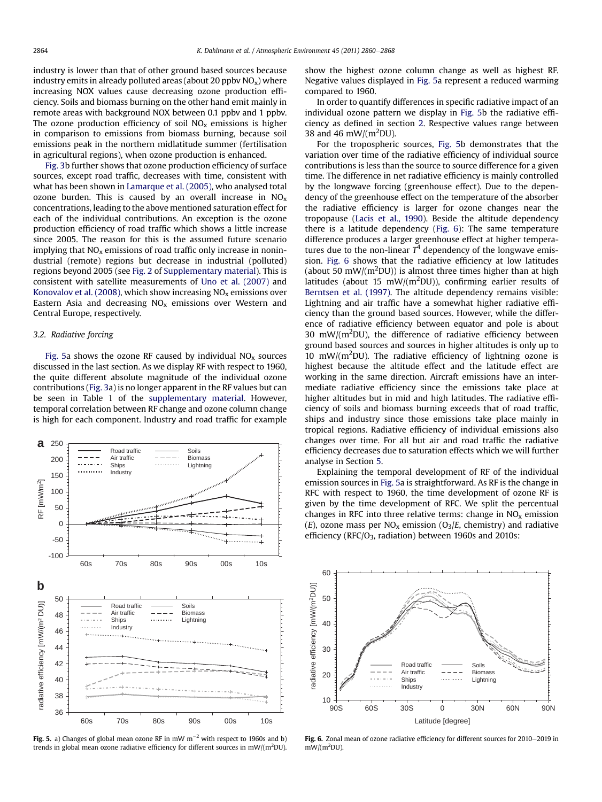<span id="page-4-0"></span>industry is lower than that of other ground based sources because industry emits in already polluted areas (about 20 ppby  $NO_x$ ) where increasing NOX values cause decreasing ozone production efficiency. Soils and biomass burning on the other hand emit mainly in remote areas with background NOX between 0.1 ppbv and 1 ppbv. The ozone production efficiency of soil  $NO<sub>x</sub>$  emissions is higher in comparison to emissions from biomass burning, because soil emissions peak in the northern midlatitude summer (fertilisation in agricultural regions), when ozone production is enhanced.

[Fig. 3](#page-3-0)b further shows that ozone production efficiency of surface sources, except road traffic, decreases with time, consistent with what has been shown in [Lamarque et al. \(2005\)](#page-8-0), who analysed total ozone burden. This is caused by an overall increase in  $NO<sub>x</sub>$ concentrations, leading to the above mentioned saturation effect for each of the individual contributions. An exception is the ozone production efficiency of road traffic which shows a little increase since 2005. The reason for this is the assumed future scenario implying that  $NO<sub>x</sub>$  emissions of road traffic only increase in nonindustrial (remote) regions but decrease in industrial (polluted) regions beyond 2005 (see [Fig. 2](#page-2-0) of Supplementary material). This is consistent with satellite measurements of [Uno et al. \(2007\)](#page-8-0) and [Konovalov et al. \(2008\)](#page-8-0), which show increasing  $NO<sub>x</sub>$  emissions over Eastern Asia and decreasing  $NO<sub>x</sub>$  emissions over Western and Central Europe, respectively.

#### 3.2. Radiative forcing

Fig. 5a shows the ozone RF caused by individual  $NO<sub>x</sub>$  sources discussed in the last section. As we display RF with respect to 1960, the quite different absolute magnitude of the individual ozone contributions [\(Fig. 3a](#page-3-0)) is no longer apparent in the RF values but can be seen in Table 1 of the supplementary material. However, temporal correlation between RF change and ozone column change is high for each component. Industry and road traffic for example



Fig. 5. a) Changes of global mean ozone RF in mW  $m^{-2}$  with respect to 1960s and b) trends in global mean ozone radiative efficiency for different sources in mW/(m<sup>2</sup>DU).

show the highest ozone column change as well as highest RF. Negative values displayed in Fig. 5a represent a reduced warming compared to 1960.

In order to quantify differences in specific radiative impact of an individual ozone pattern we display in Fig. 5b the radiative efficiency as defined in section [2.](#page-1-0) Respective values range between 38 and 46 mW/( $\rm m^2DU$ ).

For the tropospheric sources, Fig. 5b demonstrates that the variation over time of the radiative efficiency of individual source contributions is less than the source to source difference for a given time. The difference in net radiative efficiency is mainly controlled by the longwave forcing (greenhouse effect). Due to the dependency of the greenhouse effect on the temperature of the absorber the radiative efficiency is larger for ozone changes near the tropopause ([Lacis et al., 1990\)](#page-8-0). Beside the altitude dependency there is a latitude dependency (Fig. 6): The same temperature difference produces a larger greenhouse effect at higher temperatures due to the non-linear  $T<sup>4</sup>$  dependency of the longwave emission. Fig. 6 shows that the radiative efficiency at low latitudes (about 50 mW/(m<sup>2</sup>DU)) is almost three times higher than at high latitudes (about 15 mW/( $m^2$ DU)), confirming earlier results of [Berntsen et al. \(1997\)](#page-7-0). The altitude dependency remains visible: Lightning and air traffic have a somewhat higher radiative efficiency than the ground based sources. However, while the difference of radiative efficiency between equator and pole is about 30 mW/( $m<sup>2</sup>DU$ ), the difference of radiative efficiency between ground based sources and sources in higher altitudes is only up to 10 mW/( $m<sup>2</sup>DU$ ). The radiative efficiency of lightning ozone is highest because the altitude effect and the latitude effect are working in the same direction. Aircraft emissions have an intermediate radiative efficiency since the emissions take place at higher altitudes but in mid and high latitudes. The radiative efficiency of soils and biomass burning exceeds that of road traffic, ships and industry since those emissions take place mainly in tropical regions. Radiative efficiency of individual emissions also changes over time. For all but air and road traffic the radiative efficiency decreases due to saturation effects which we will further analyse in Section [5](#page-6-0).

Explaining the temporal development of RF of the individual emission sources in Fig. 5a is straightforward. As RF is the change in RFC with respect to 1960, the time development of ozone RF is given by the time development of RFC. We split the percentual changes in RFC into three relative terms: change in  $NO<sub>x</sub>$  emission (E), ozone mass per  $NO<sub>x</sub>$  emission ( $O<sub>3</sub>/E$ , chemistry) and radiative efficiency (RFC/O<sub>3</sub>, radiation) between 1960s and 2010s:



Fig. 6. Zonal mean of ozone radiative efficiency for different sources for 2010-2019 in  $mW/(m^2DU)$ .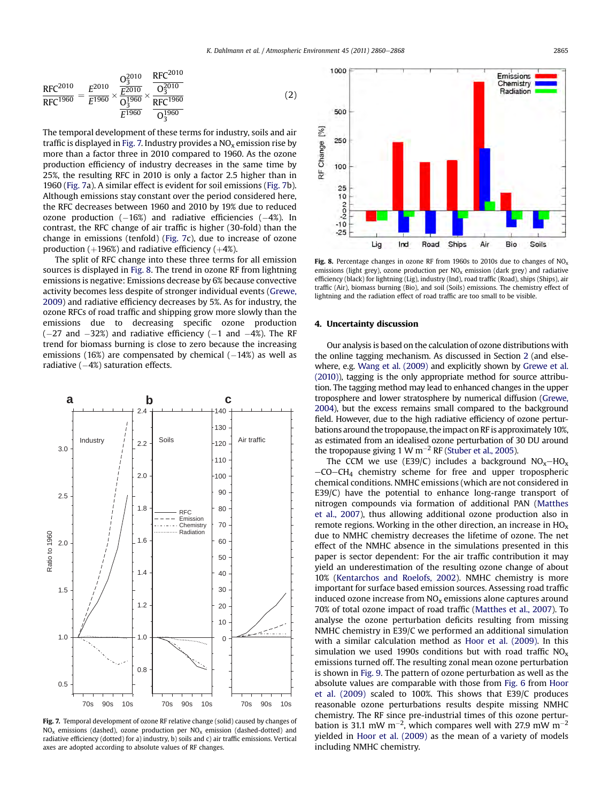<span id="page-5-0"></span>
$$
\frac{\text{RFC}^{2010}}{\text{RFC}^{1960}} = \frac{E^{2010}}{E^{1960}} \times \frac{\frac{\text{O}_3^{2010}}{\text{O}_3^{2010}}}{\frac{\text{O}_3^{1960}}{\text{E}^{1960}}} \times \frac{\frac{\text{RFC}^{2010}}{\text{O}_3^{2010}}}{\frac{\text{RFC}^{1960}}{\text{O}_3^{1960}}} \tag{2}
$$

The temporal development of these terms for industry, soils and air traffic is displayed in Fig. 7. Industry provides a  $NO<sub>x</sub>$  emission rise by more than a factor three in 2010 compared to 1960. As the ozone production efficiency of industry decreases in the same time by 25%, the resulting RFC in 2010 is only a factor 2.5 higher than in 1960 (Fig. 7a). A similar effect is evident for soil emissions (Fig. 7b). Although emissions stay constant over the period considered here, the RFC decreases between 1960 and 2010 by 19% due to reduced ozone production  $(-16%)$  and radiative efficiencies  $(-4%)$ . In contrast, the RFC change of air traffic is higher (30-fold) than the change in emissions (tenfold) (Fig. 7c), due to increase of ozone production  $(+196%)$  and radiative efficiency  $(+4%)$ .

The split of RFC change into these three terms for all emission sources is displayed in Fig. 8. The trend in ozone RF from lightning emissions is negative: Emissions decrease by 6% because convective activity becomes less despite of stronger individual events [\(Grewe,](#page-7-0) [2009\)](#page-7-0) and radiative efficiency decreases by 5%. As for industry, the ozone RFCs of road traffic and shipping grow more slowly than the emissions due to decreasing specific ozone production  $(-27$  and  $-32%)$  and radiative efficiency  $(-1$  and  $-4%)$ . The RF trend for biomass burning is close to zero because the increasing emissions (16%) are compensated by chemical  $(-14%)$  as well as radiative  $(-4%)$  saturation effects.



Fig. 7. Temporal development of ozone RF relative change (solid) caused by changes of  $NO<sub>x</sub>$  emissions (dashed), ozone production per  $NO<sub>x</sub>$  emission (dashed-dotted) and radiative efficiency (dotted) for a) industry, b) soils and c) air traffic emissions. Vertical axes are adopted according to absolute values of RF changes.



Fig. 8. Percentage changes in ozone RF from 1960s to 2010s due to changes of  $NO<sub>x</sub>$ emissions (light grey), ozone production per  $NO<sub>x</sub>$  emission (dark grey) and radiative efficiency (black) for lightning (Lig), industry (Ind), road traffic (Road), ships (Ships), air traffic (Air), biomass burning (Bio), and soil (Soils) emissions. The chemistry effect of lightning and the radiation effect of road traffic are too small to be visible.

### 4. Uncertainty discussion

Our analysis is based on the calculation of ozone distributions with the online tagging mechanism. As discussed in Section [2](#page-1-0) (and elsewhere, e.g. [Wang et al. \(2009\)](#page-8-0) and explicitly shown by [Grewe et al.](#page-8-0) [\(2010\)\)](#page-8-0), tagging is the only appropriate method for source attribution. The tagging method may lead to enhanced changes in the upper troposphere and lower stratosphere by numerical diffusion ([Grewe,](#page-7-0) [2004](#page-7-0)), but the excess remains small compared to the background field. However, due to the high radiative efficiency of ozone perturbations around the tropopause, the impact on RF is approximately 10%, as estimated from an idealised ozone perturbation of 30 DU around the tropopause giving 1 W  $\rm m^{-2}$  RF [\(Stuber et al., 2005\)](#page-8-0).

The CCM we use (E39/C) includes a background  $NO<sub>x</sub>–HO<sub>x</sub>$  $-CO-CH<sub>4</sub>$  chemistry scheme for free and upper tropospheric chemical conditions. NMHC emissions (which are not considered in E39/C) have the potential to enhance long-range transport of nitrogen compounds via formation of additional PAN ([Matthes](#page-8-0) [et al., 2007](#page-8-0)), thus allowing additional ozone production also in remote regions. Working in the other direction, an increase in  $HO<sub>x</sub>$ due to NMHC chemistry decreases the lifetime of ozone. The net effect of the NMHC absence in the simulations presented in this paper is sector dependent: For the air traffic contribution it may yield an underestimation of the resulting ozone change of about 10% [\(Kentarchos and Roelofs, 2002](#page-8-0)). NMHC chemistry is more important for surface based emission sources. Assessing road traffic induced ozone increase from  $NO<sub>x</sub>$  emissions alone captures around 70% of total ozone impact of road traffic [\(Matthes et al., 2007](#page-8-0)). To analyse the ozone perturbation deficits resulting from missing NMHC chemistry in E39/C we performed an additional simulation with a similar calculation method as [Hoor et al. \(2009\).](#page-8-0) In this simulation we used 1990s conditions but with road traffic  $NO<sub>x</sub>$ emissions turned off. The resulting zonal mean ozone perturbation is shown in [Fig. 9.](#page-6-0) The pattern of ozone perturbation as well as the absolute values are comparable with those from [Fig. 6](#page-4-0) from [Hoor](#page-8-0) [et al. \(2009\)](#page-8-0) scaled to 100%. This shows that E39/C produces reasonable ozone perturbations results despite missing NMHC chemistry. The RF since pre-industrial times of this ozone perturbation is 31.1 mW m<sup>-2</sup>, which compares well with 27.9 mW m<sup>-2</sup> yielded in [Hoor et al. \(2009\)](#page-8-0) as the mean of a variety of models including NMHC chemistry.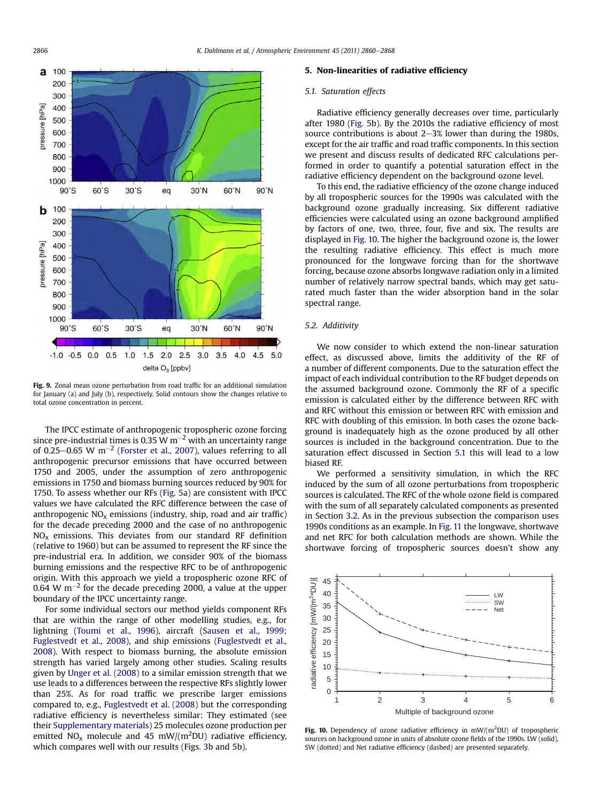<span id="page-6-0"></span>

Fig. 9. Zonal mean ozone perturbation from road traffic for an additional simulation for January (a) and July (b), respectively. Solid contours show the changes relative to total ozone concentration in percent.

The IPCC estimate of anthropogenic tropospheric ozone forcing since pre-industrial times is 0.35 W  $m^{-2}$  with an uncertainty range of 0.25–0.65 W  $m^{-2}$  [\(Forster et al., 2007](#page-7-0)), values referring to all anthropogenic precursor emissions that have occurred between 1750 and 2005, under the assumption of zero anthropogenic emissions in 1750 and biomass burning sources reduced by 90% for 1750. To assess whether our RFs [\(Fig. 5](#page-4-0)a) are consistent with IPCC values we have calculated the RFC difference between the case of anthropogenic  $NO<sub>x</sub>$  emissions (industry, ship, road and air traffic) for the decade preceding 2000 and the case of no anthropogenic  $NO<sub>x</sub>$  emissions. This deviates from our standard RF definition (relative to 1960) but can be assumed to represent the RF since the pre-industrial era. In addition, we consider 90% of the biomass burning emissions and the respective RFC to be of anthropogenic origin. With this approach we yield a tropospheric ozone RFC of 0.64 W  $\mathrm{m}^{-2}$  for the decade preceding 2000, a value at the upper boundary of the IPCC uncertainty range.

For some individual sectors our method yields component RFs that are within the range of other modelling studies, e.g., for lightning [\(Toumi et al., 1996\)](#page-8-0), aircraft ([Sausen et al., 1999;](#page-8-0) [Fuglestvedt et al., 2008\)](#page-8-0), and ship emissions [\(Fuglestvedt et al.,](#page-7-0) [2008](#page-7-0)). With respect to biomass burning, the absolute emission strength has varied largely among other studies. Scaling results given by [Unger et al. \(2008\)](#page-8-0) to a similar emission strength that we use leads to a differences between the respective RFs slightly lower than 25%. As for road traffic we prescribe larger emissions compared to, e.g., [Fuglestvedt et al. \(2008\)](#page-7-0) but the corresponding radiative efficiency is nevertheless similar: They estimated (see their Supplementary materials) 25 molecules ozone production per emitted  $NO_x$  molecule and 45 mW/(m<sup>2</sup>DU) radiative efficiency, which compares well with our results (Figs. [3](#page-3-0)b and [5b](#page-4-0)).

#### 5. Non-linearities of radiative efficiency

#### 5.1. Saturation effects

Radiative efficiency generally decreases over time, particularly after 1980 ([Fig. 5b](#page-4-0)). By the 2010s the radiative efficiency of most source contributions is about  $2-3$ % lower than during the 1980s, except for the air traffic and road traffic components. In this section we present and discuss results of dedicated RFC calculations performed in order to quantify a potential saturation effect in the radiative efficiency dependent on the background ozone level.

To this end, the radiative efficiency of the ozone change induced by all tropospheric sources for the 1990s was calculated with the background ozone gradually increasing. Six different radiative efficiencies were calculated using an ozone background amplified by factors of one, two, three, four, five and six. The results are displayed in Fig. 10. The higher the background ozone is, the lower the resulting radiative efficiency. This effect is much more pronounced for the longwave forcing than for the shortwave forcing, because ozone absorbs longwave radiation only in a limited number of relatively narrow spectral bands, which may get saturated much faster than the wider absorption band in the solar spectral range.

#### 5.2. Additivity

We now consider to which extend the non-linear saturation effect, as discussed above, limits the additivity of the RF of a number of different components. Due to the saturation effect the impact of each individual contribution to the RF budget depends on the assumed background ozone. Commonly the RF of a specific emission is calculated either by the difference between RFC with and RFC without this emission or between RFC with emission and RFC with doubling of this emission. In both cases the ozone background is inadequately high as the ozone produced by all other sources is included in the background concentration. Due to the saturation effect discussed in Section 5.1 this will lead to a low biased RF.

We performed a sensitivity simulation, in which the RFC induced by the sum of all ozone perturbations from tropospheric sources is calculated. The RFC of the whole ozone field is compared with the sum of all separately calculated components as presented in Section [3.2.](#page-4-0) As in the previous subsection the comparison uses 1990s conditions as an example. In [Fig. 11](#page-7-0) the longwave, shortwave and net RFC for both calculation methods are shown. While the shortwave forcing of tropospheric sources doesn't show any



Fig. 10. Dependency of ozone radiative efficiency in mW/(m<sup>2</sup>DU) of tropospheric sources on background ozone in units of absolute ozone fields of the 1990s. LW (solid), SW (dotted) and Net radiative efficiency (dashed) are presented separately.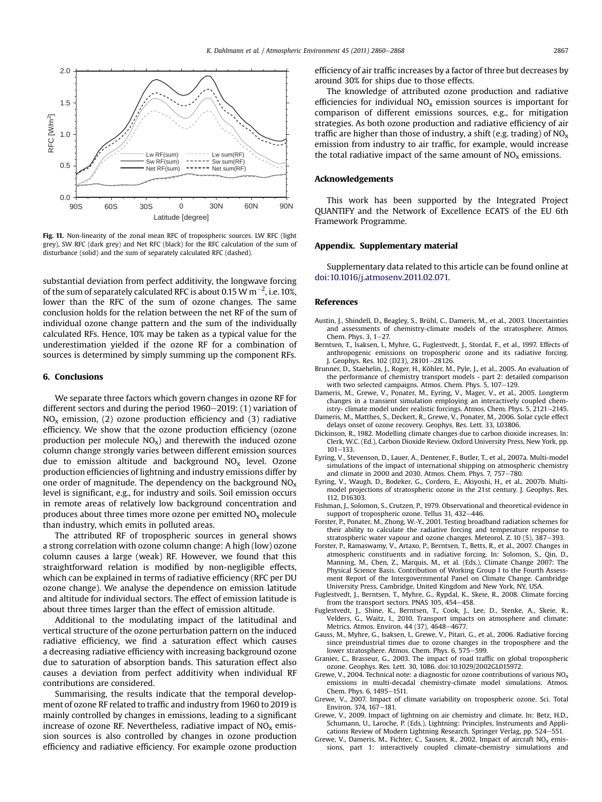<span id="page-7-0"></span>

Fig. 11. Non-linearity of the zonal mean RFC of tropospheric sources. LW RFC (light grey), SW RFC (dark grey) and Net RFC (black) for the RFC calculation of the sum of disturbance (solid) and the sum of separately calculated RFC (dashed).

substantial deviation from perfect additivity, the longwave forcing of the sum of separately calculated RFC is about 0.15 W m $^{-2}$ , i.e. 10%, lower than the RFC of the sum of ozone changes. The same conclusion holds for the relation between the net RF of the sum of individual ozone change pattern and the sum of the individually calculated RFs. Hence, 10% may be taken as a typical value for the underestimation yielded if the ozone RF for a combination of sources is determined by simply summing up the component RFs.

#### 6. Conclusions

We separate three factors which govern changes in ozone RF for different sectors and during the period  $1960-2019$ : (1) variation of  $NO<sub>x</sub>$  emission, (2) ozone production efficiency and (3) radiative efficiency. We show that the ozone production efficiency (ozone production per molecule  $NO<sub>x</sub>$ ) and therewith the induced ozone column change strongly varies between different emission sources due to emission altitude and background  $NO<sub>x</sub>$  level. Ozone production efficiencies of lightning and industry emissions differ by one order of magnitude. The dependency on the background  $NO<sub>x</sub>$ level is significant, e.g., for industry and soils. Soil emission occurs in remote areas of relatively low background concentration and produces about three times more ozone per emitted  $NO<sub>x</sub>$  molecule than industry, which emits in polluted areas.

The attributed RF of tropospheric sources in general shows a strong correlation with ozone column change: A high (low) ozone column causes a large (weak) RF. However, we found that this straightforward relation is modified by non-negligible effects, which can be explained in terms of radiative efficiency (RFC per DU ozone change). We analyse the dependence on emission latitude and altitude for individual sectors. The effect of emission latitude is about three times larger than the effect of emission altitude.

Additional to the modulating impact of the latitudinal and vertical structure of the ozone perturbation pattern on the induced radiative efficiency, we find a saturation effect which causes a decreasing radiative efficiency with increasing background ozone due to saturation of absorption bands. This saturation effect also causes a deviation from perfect additivity when individual RF contributions are considered.

Summarising, the results indicate that the temporal development of ozone RF related to traffic and industry from 1960 to 2019 is mainly controlled by changes in emissions, leading to a significant increase of ozone RF. Nevertheless, radiative impact of  $NO<sub>x</sub>$  emission sources is also controlled by changes in ozone production efficiency and radiative efficiency. For example ozone production efficiency of air traffic increases by a factor of three but decreases by around 30% for ships due to those effects.

The knowledge of attributed ozone production and radiative efficiencies for individual  $NO<sub>x</sub>$  emission sources is important for comparison of different emissions sources, e.g., for mitigation strategies. As both ozone production and radiative efficiency of air traffic are higher than those of industry, a shift (e.g. trading) of  $NO<sub>x</sub>$ emission from industry to air traffic, for example, would increase the total radiative impact of the same amount of  $NO<sub>x</sub>$  emissions.

#### Acknowledgements

This work has been supported by the Integrated Project QUANTIFY and the Network of Excellence ECATS of the EU 6th Framework Programme.

#### Appendix. Supplementary material

Supplementary data related to this article can be found online at [doi:10.1016/j.atmosenv.2011.02.071.](http://dx.doi.org/10.1016/j.atmosenv.2011.02.071)

#### References

- Austin, J., Shindell, D., Beagley, S., Brühl, C., Dameris, M., et al., 2003. Uncertainties and assessments of chemistry-climate models of the stratosphere. Atmos. Chem. Phys.  $3.1-27$ .
- Berntsen, T., Isaksen, I., Myhre, G., Fuglestvedt, J., Stordal, F., et al., 1997. Effects of anthropogenic emissions on tropospheric ozone and its radiative forcing. J. Geophys. Res. 102 (D23), 28101-28126.
- Brunner, D., Staehelin, J., Roger, H., Köhler, M., Pyle, J., et al., 2005. An evaluation of the performance of chemistry transport models - part 2: detailed comparison with two selected campaigns. Atmos. Chem. Phys.  $5, 107-129$ .
- Dameris, M., Grewe, V., Ponater, M., Eyring, V., Mager, V., et al., 2005. Longterm changes in a transient simulation employing an interactively coupled chemistry- climate model under realistic forcings. Atmos. Chem. Phys.  $5.2121-2145$ .
- Dameris, M., Matthes, S., Deckert, R., Grewe, V., Ponater, M., 2006. Solar cycle effect delays onset of ozone recovery. Geophys. Res. Lett. 33, L03806.
- Dickinson, R., 1982. Modelling climate changes due to carbon dioxide increases. In: Clerk, W.C. (Ed.), Carbon Dioxide Review. Oxford University Press, New York, pp.  $101 - 133.$
- Eyring, V., Stevenson, D., Lauer, A., Dentener, F., Butler, T., et al., 2007a. Multi-model simulations of the impact of international shipping on atmospheric chemistry and climate in  $2000$  and  $2030$ . Atmos. Chem. Phys.  $7.757-780$ .
- Eyring, V., Waugh, D., Bodeker, G., Cordero, E., Akiyoshi, H., et al., 2007b. Multimodel projections of stratospheric ozone in the 21st century. J. Geophys. Res. 112, D16303.
- Fishman, J., Solomon, S., Crutzen, P., 1979. Observational and theoretical evidence in support of tropospheric ozone. Tellus 31, 432-446.
- Forster, P., Ponater, M., Zhong, W.-Y., 2001. Testing broadband radiation schemes for their ability to calculate the radiative forcing and temperature response to stratospheric water vapour and ozone changes. Meteorol.  $Z$ , 10 (5), 387–393.
- Forster, P., Ramaswamy, V., Artaxo, P., Berntsen, T., Betts, R., et al., 2007. Changes in atmospheric constituents and in radiative forcing. In: Solomon, S., Qin, D., Manning, M., Chen, Z., Marquis, M., et al. (Eds.), Climate Change 2007: The Physical Science Basis. Contribution of Working Group I to the Fourth Assessment Report of the Intergovernmental Panel on Climate Change. Cambridge University Press, Cambridge, United Kingdom and New York, NY, USA.
- Fuglestvedt, J., Berntsen, T., Myhre, G., Rypdal, K., Skeie, R., 2008. Climate forcing from the transport sectors. PNAS  $105, 454-458$ .
- Fuglestvedt, J., Shine, K., Berntsen, T., Cook, J., Lee, D., Stenke, A., Skeie, R., Velders, G., Waitz, I., 2010. Transport impacts on atmosphere and climate: Metrics. Atmos. Environ. 44 (37), 4648-4677.
- Gauss, M., Myhre, G., Isaksen, I., Grewe, V., Pitari, G., et al., 2006. Radiative forcing since preindustrial times due to ozone changes in the troposphere and the lower stratosphere. Atmos. Chem. Phys. 6, 575-599.
- Granier, C., Brasseur, G., 2003. The impact of road traffic on global tropospheric ozone. Geophys. Res. Lett. 30, 1086. doi:10.1029/2002GL015972.
- Grewe, V., 2004. Technical note: a diagnostic for ozone contributions of various NOx emissions in multi-decadal chemistry-climate model simulations. Atmos. Chem. Phys. 6, 1495-1511.
- Grewe, V., 2007. Impact of climate variability on tropospheric ozone. Sci. Total Environ. 374, 167-181.
- Grewe, V., 2009. Impact of lightning on air chemistry and climate. In: Betz, H.D., Schumann, U., Laroche, P. (Eds.), Lightning: Principles, Instruments and Applications Review of Modern Lightning Research. Springer Verlag, pp. 524-551.
- Grewe, V., Dameris, M., Fichter, C., Sausen, R., 2002. Impact of aircraft  $NO<sub>x</sub>$  emissions, part 1: interactively coupled climate-chemistry simulations and